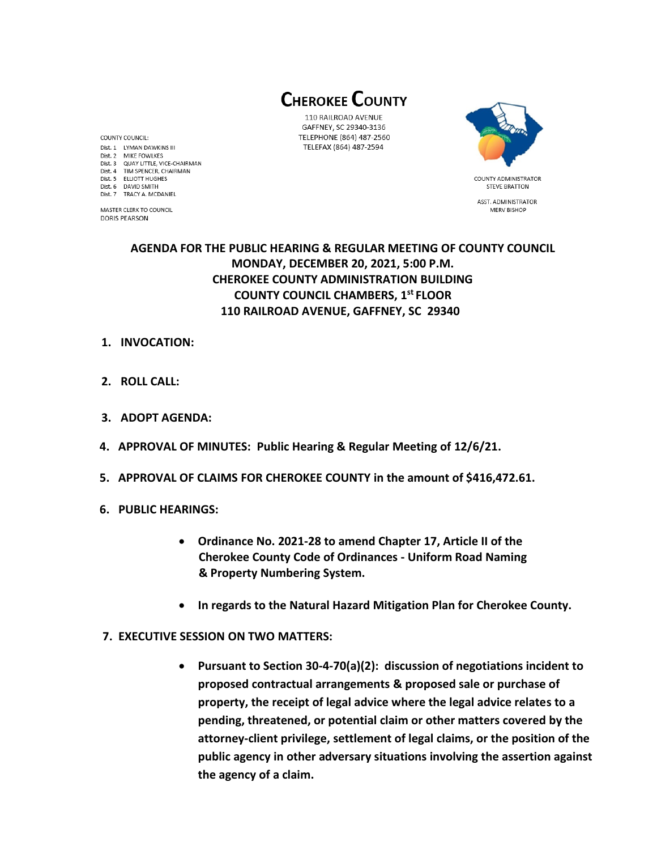**CHEROKEE COUNTY** 

110 RAILROAD AVENUE GAFFNEY, SC 29340-3136 TELEPHONE (864) 487-2560 TELEFAX (864) 487-2594



**STEVE BRATTON** ASST. ADMINISTRATOR MERV BISHOP

# **AGENDA FOR THE PUBLIC HEARING & REGULAR MEETING OF COUNTY COUNCIL MONDAY, DECEMBER 20, 2021, 5:00 P.M. CHEROKEE COUNTY ADMINISTRATION BUILDING COUNTY COUNCIL CHAMBERS, 1 st FLOOR 110 RAILROAD AVENUE, GAFFNEY, SC 29340**

#### **1. INVOCATION:**

- **2. ROLL CALL:**
- **3. ADOPT AGENDA:**
- **4. APPROVAL OF MINUTES: Public Hearing & Regular Meeting of 12/6/21.**
- **5. APPROVAL OF CLAIMS FOR CHEROKEE COUNTY in the amount of \$416,472.61.**
- **6. PUBLIC HEARINGS:** 
	- **Ordinance No. 2021-28 to amend Chapter 17, Article II of the Cherokee County Code of Ordinances - Uniform Road Naming & Property Numbering System.**
	- **In regards to the Natural Hazard Mitigation Plan for Cherokee County.**
- **7. EXECUTIVE SESSION ON TWO MATTERS:**
	- **Pursuant to Section 30-4-70(a)(2): discussion of negotiations incident to proposed contractual arrangements & proposed sale or purchase of property, the receipt of legal advice where the legal advice relates to a pending, threatened, or potential claim or other matters covered by the attorney-client privilege, settlement of legal claims, or the position of the public agency in other adversary situations involving the assertion against the agency of a claim.**

COUNTY COUNCIL: Dist. 1 LYMAN DAWKINS III Dist. 2 MIKE FOWLKES Dist. 3 QUAY LITTLE, VICE-CHAIRMAN Dist. 4 TIM SPENCER, CHAIRMAN Dist. 5 ELLIOTT HUGHES Dist. 6 DAVID SMITH Dist. 7 TRACY A. MCDANIEL

MASTER CLERK TO COUNCIL **DORIS PEARSON**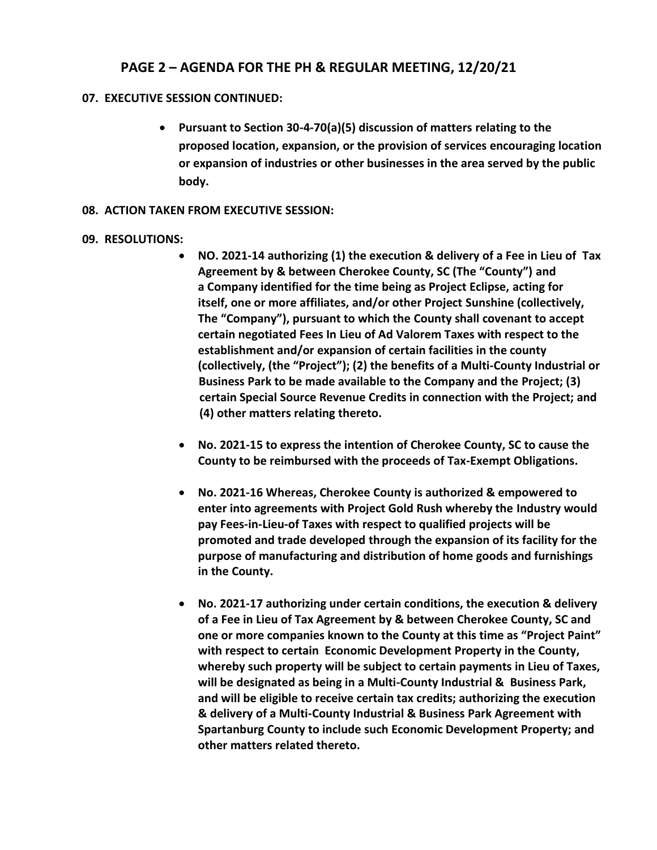# **PAGE 2 – AGENDA FOR THE PH & REGULAR MEETING, 12/20/21**

## **07. EXECUTIVE SESSION CONTINUED:**

• **Pursuant to Section 30-4-70(a)(5) discussion of matters relating to the proposed location, expansion, or the provision of services encouraging location or expansion of industries or other businesses in the area served by the public body.**

## **08. ACTION TAKEN FROM EXECUTIVE SESSION:**

## **09. RESOLUTIONS:**

- **NO. 2021-14 authorizing (1) the execution & delivery of a Fee in Lieu of Tax Agreement by & between Cherokee County, SC (The "County") and a Company identified for the time being as Project Eclipse, acting for itself, one or more affiliates, and/or other Project Sunshine (collectively, The "Company"), pursuant to which the County shall covenant to accept certain negotiated Fees In Lieu of Ad Valorem Taxes with respect to the establishment and/or expansion of certain facilities in the county (collectively, (the "Project"); (2) the benefits of a Multi-County Industrial or Business Park to be made available to the Company and the Project; (3) certain Special Source Revenue Credits in connection with the Project; and (4) other matters relating thereto.**
- **No. 2021-15 to express the intention of Cherokee County, SC to cause the County to be reimbursed with the proceeds of Tax-Exempt Obligations.**
- **No. 2021-16 Whereas, Cherokee County is authorized & empowered to enter into agreements with Project Gold Rush whereby the Industry would pay Fees-in-Lieu-of Taxes with respect to qualified projects will be promoted and trade developed through the expansion of its facility for the purpose of manufacturing and distribution of home goods and furnishings in the County.**
- **No. 2021-17 authorizing under certain conditions, the execution & delivery of a Fee in Lieu of Tax Agreement by & between Cherokee County, SC and one or more companies known to the County at this time as "Project Paint" with respect to certain Economic Development Property in the County, whereby such property will be subject to certain payments in Lieu of Taxes, will be designated as being in a Multi-County Industrial & Business Park, and will be eligible to receive certain tax credits; authorizing the execution & delivery of a Multi-County Industrial & Business Park Agreement with Spartanburg County to include such Economic Development Property; and other matters related thereto.**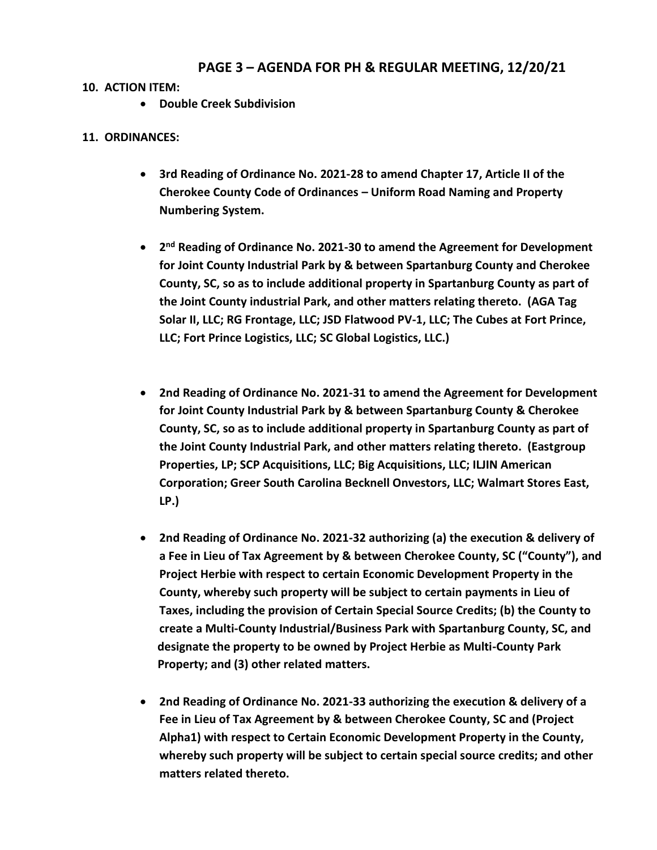# **PAGE 3 – AGENDA FOR PH & REGULAR MEETING, 12/20/21**

## **10. ACTION ITEM:**

• **Double Creek Subdivision**

### **11. ORDINANCES:**

- **3rd Reading of Ordinance No. 2021-28 to amend Chapter 17, Article II of the Cherokee County Code of Ordinances – Uniform Road Naming and Property Numbering System.**
- **•** 2<sup>nd</sup> Reading of Ordinance No. 2021-30 to amend the Agreement for Development **for Joint County Industrial Park by & between Spartanburg County and Cherokee County, SC, so as to include additional property in Spartanburg County as part of the Joint County industrial Park, and other matters relating thereto. (AGA Tag Solar II, LLC; RG Frontage, LLC; JSD Flatwood PV-1, LLC; The Cubes at Fort Prince, LLC; Fort Prince Logistics, LLC; SC Global Logistics, LLC.)**
- **2nd Reading of Ordinance No. 2021-31 to amend the Agreement for Development for Joint County Industrial Park by & between Spartanburg County & Cherokee County, SC, so as to include additional property in Spartanburg County as part of the Joint County Industrial Park, and other matters relating thereto. (Eastgroup Properties, LP; SCP Acquisitions, LLC; Big Acquisitions, LLC; ILJIN American Corporation; Greer South Carolina Becknell Onvestors, LLC; Walmart Stores East, LP.)**
- **2nd Reading of Ordinance No. 2021-32 authorizing (a) the execution & delivery of a Fee in Lieu of Tax Agreement by & between Cherokee County, SC ("County"), and Project Herbie with respect to certain Economic Development Property in the County, whereby such property will be subject to certain payments in Lieu of Taxes, including the provision of Certain Special Source Credits; (b) the County to create a Multi-County Industrial/Business Park with Spartanburg County, SC, and designate the property to be owned by Project Herbie as Multi-County Park Property; and (3) other related matters.**
- **2nd Reading of Ordinance No. 2021-33 authorizing the execution & delivery of a Fee in Lieu of Tax Agreement by & between Cherokee County, SC and (Project Alpha1) with respect to Certain Economic Development Property in the County, whereby such property will be subject to certain special source credits; and other matters related thereto.**